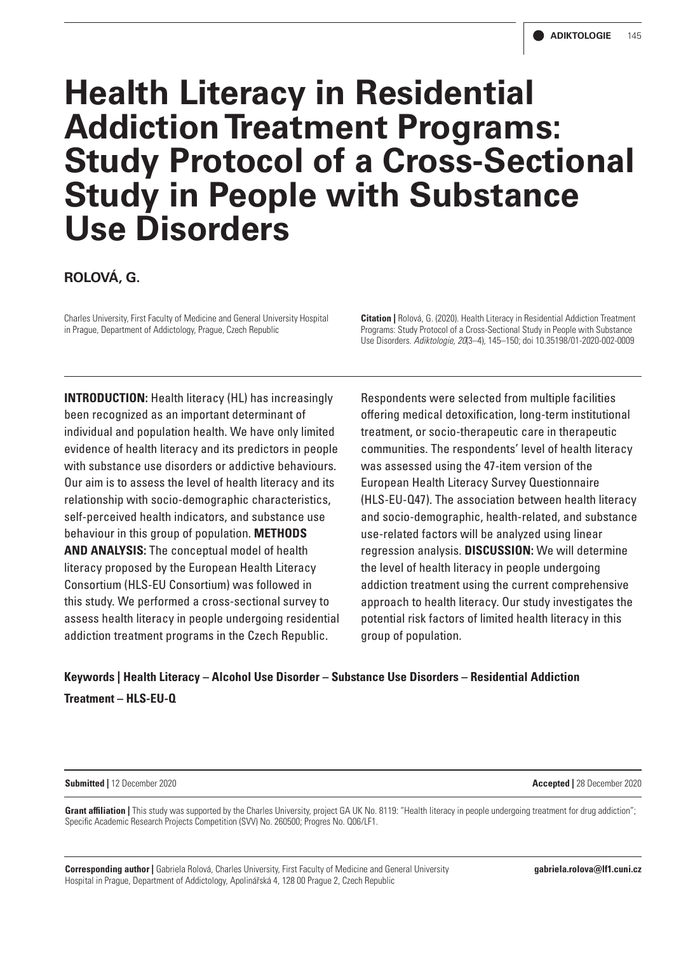# **Health Literacy in Residential Addiction Treatment Programs: Study Protocol of a Cross-Sectional Study in People with Substance Use Disorders**

**ROLOVÁ, G.**

Charles University, First Faculty of Medicine and General University Hospital in Prague, Department of Addictology, Prague, Czech Republic

**Citation |** Rolová, G. (2020). Health Literacy in Residential Addiction Treatment Programs: Study Protocol of a Cross-Sectional Study in People with Substance Use Disorders. *Adiktologie, 20*(3–4), 145–150; doi 10.35198/01-2020-002-0009

**INTRODUCTION:** Health literacy (HL) has increasingly been recognized as an important determinant of individual and population health. We have only limited evidence of health literacy and its predictors in people with substance use disorders or addictive behaviours. Our aim is to assess the level of health literacy and its relationship with socio-demographic characteristics, self-perceived health indicators, and substance use behaviour in this group of population. **METHODS AND ANALYSIS:** The conceptual model of health literacy proposed by the European Health Literacy Consortium (HLS-EU Consortium) was followed in this study. We performed a cross-sectional survey to assess health literacy in people undergoing residential addiction treatment programs in the Czech Republic.

Respondents were selected from multiple facilities offering medical detoxification, long-term institutional treatment, or socio-therapeutic care in therapeutic communities. The respondents' level of health literacy was assessed using the 47-item version of the European Health Literacy Survey Questionnaire (HLS-EU-Q47). The association between health literacy and socio-demographic, health-related, and substance use-related factors will be analyzed using linear regression analysis. **DISCUSSION:** We will determine the level of health literacy in people undergoing addiction treatment using the current comprehensive approach to health literacy. Our study investigates the potential risk factors of limited health literacy in this group of population.

**Keywords | Health Literacy – Alcohol Use Disorder – Substance Use Disorders – Residential Addiction Treatment – HLS-EU-Q**

**Submitted |** 12 December 2020 **Accepted |** 28 December 2020

Grant affiliation | This study was supported by the Charles University, project GA UK No. 8119: "Health literacy in people undergoing treatment for drug addiction"; Specific Academic Research Projects Competition (SVV) No. 260500; Progres No. Q06/LF1.

**Corresponding author |** Gabriela Rolová, Charles University, First Faculty of Medicine and General University Hospital in Prague, Department of Addictology, Apolinářská 4, 128 00 Prague 2, Czech Republic

**gabriela.rolova@lf1.cuni.cz**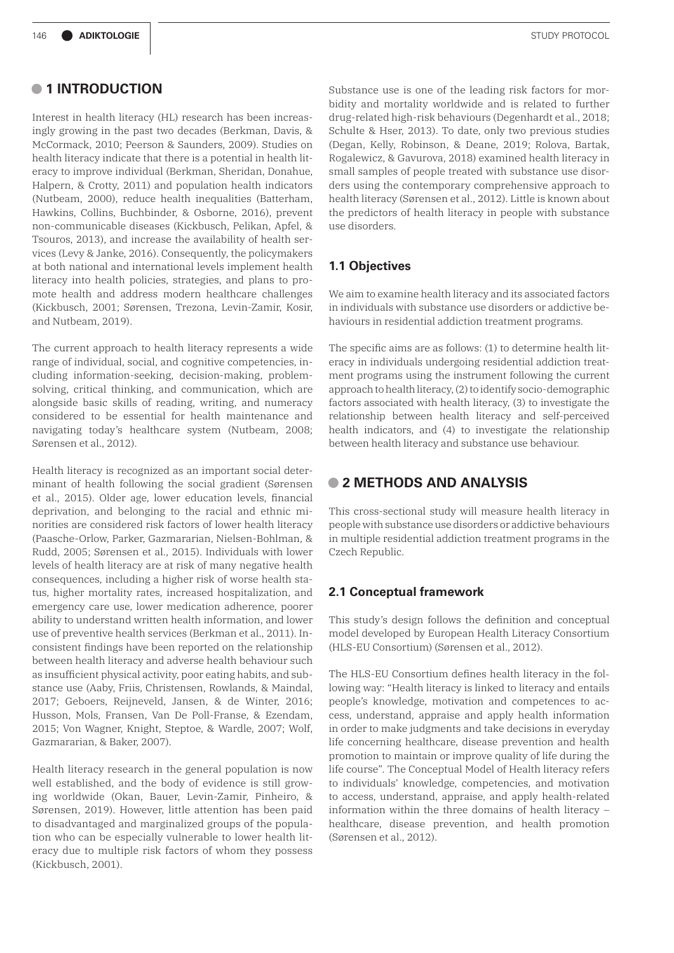# **• 1 INTRODUCTION**

Interest in health literacy (HL) research has been increasingly growing in the past two decades (Berkman, Davis, & McCormack, 2010; Peerson & Saunders, 2009). Studies on health literacy indicate that there is a potential in health literacy to improve individual (Berkman, Sheridan, Donahue, Halpern, & Crotty, 2011) and population health indicators (Nutbeam, 2000), reduce health inequalities (Batterham, Hawkins, Collins, Buchbinder, & Osborne, 2016), prevent non-communicable diseases (Kickbusch, Pelikan, Apfel, & Tsouros, 2013), and increase the availability of health services (Levy & Janke, 2016). Consequently, the policymakers at both national and international levels implement health literacy into health policies, strategies, and plans to promote health and address modern healthcare challenges (Kickbusch, 2001; Sørensen, Trezona, Levin-Zamir, Kosir, and Nutbeam, 2019).

The current approach to health literacy represents a wide range of individual, social, and cognitive competencies, including information-seeking, decision-making, problemsolving, critical thinking, and communication, which are alongside basic skills of reading, writing, and numeracy considered to be essential for health maintenance and navigating today's healthcare system (Nutbeam, 2008; Sørensen et al., 2012).

Health literacy is recognized as an important social determinant of health following the social gradient (Sørensen et al., 2015). Older age, lower education levels, financial deprivation, and belonging to the racial and ethnic minorities are considered risk factors of lower health literacy (Paasche-Orlow, Parker, Gazmararian, Nielsen-Bohlman, & Rudd, 2005; Sørensen et al., 2015). Individuals with lower levels of health literacy are at risk of many negative health consequences, including a higher risk of worse health status, higher mortality rates, increased hospitalization, and emergency care use, lower medication adherence, poorer ability to understand written health information, and lower use of preventive health services (Berkman et al., 2011). Inconsistent findings have been reported on the relationship between health literacy and adverse health behaviour such as insufficient physical activity, poor eating habits, and substance use (Aaby, Friis, Christensen, Rowlands, & Maindal, 2017; Geboers, Reijneveld, Jansen, & de Winter, 2016; Husson, Mols, Fransen, Van De Poll-Franse, & Ezendam, 2015; Von Wagner, Knight, Steptoe, & Wardle, 2007; Wolf, Gazmararian, & Baker, 2007).

Health literacy research in the general population is now well established, and the body of evidence is still growing worldwide (Okan, Bauer, Levin-Zamir, Pinheiro, & Sørensen, 2019). However, little attention has been paid to disadvantaged and marginalized groups of the population who can be especially vulnerable to lower health literacy due to multiple risk factors of whom they possess (Kickbusch, 2001).

Substance use is one of the leading risk factors for morbidity and mortality worldwide and is related to further drug-related high-risk behaviours (Degenhardt et al., 2018; Schulte & Hser, 2013). To date, only two previous studies (Degan, Kelly, Robinson, & Deane, 2019; Rolova, Bartak, Rogalewicz, & Gavurova, 2018) examined health literacy in small samples of people treated with substance use disorders using the contemporary comprehensive approach to health literacy (Sørensen et al., 2012). Little is known about the predictors of health literacy in people with substance use disorders.

### **1.1 Objectives**

We aim to examine health literacy and its associated factors in individuals with substance use disorders or addictive behaviours in residential addiction treatment programs.

The specific aims are as follows: (1) to determine health literacy in individuals undergoing residential addiction treatment programs using the instrument following the current approach to health literacy, (2) to identify socio-demographic factors associated with health literacy, (3) to investigate the relationship between health literacy and self-perceived health indicators, and (4) to investigate the relationship between health literacy and substance use behaviour.

# **• 2 METHODS AND ANALYSIS**

This cross-sectional study will measure health literacy in people with substance use disorders or addictive behaviours in multiple residential addiction treatment programs in the Czech Republic.

## **2.1 Conceptual framework**

This study's design follows the definition and conceptual model developed by European Health Literacy Consortium (HLS-EU Consortium) (Sørensen et al., 2012).

The HLS-EU Consortium defines health literacy in the following way: "Health literacy is linked to literacy and entails people's knowledge, motivation and competences to access, understand, appraise and apply health information in order to make judgments and take decisions in everyday life concerning healthcare, disease prevention and health promotion to maintain or improve quality of life during the life course". The Conceptual Model of Health literacy refers to individuals' knowledge, competencies, and motivation to access, understand, appraise, and apply health-related information within the three domains of health literacy – healthcare, disease prevention, and health promotion (Sørensen et al., 2012).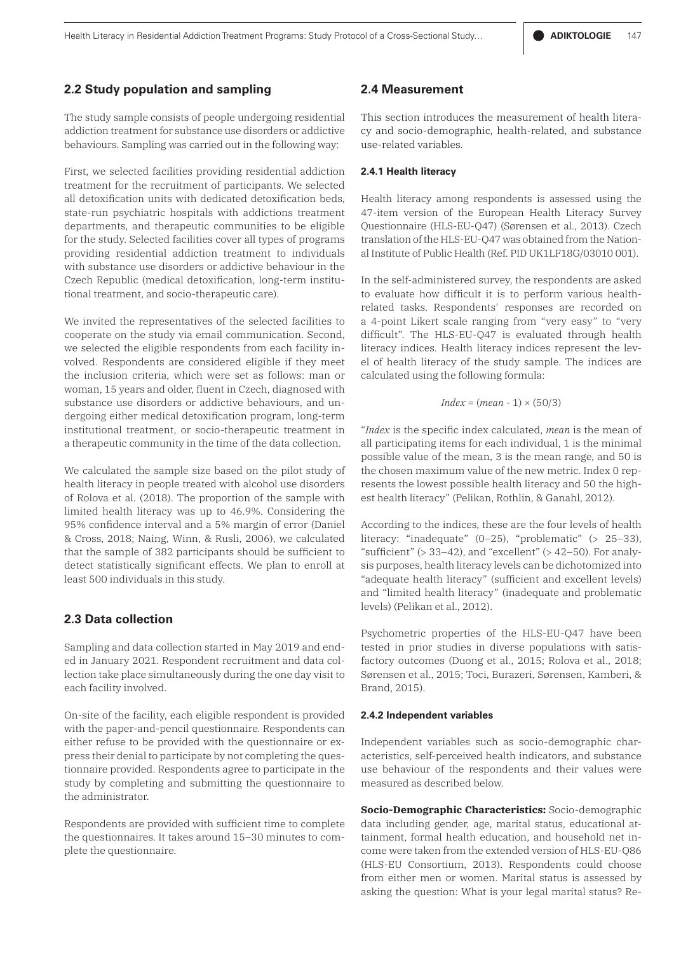#### **2.2 Study population and sampling**

The study sample consists of people undergoing residential addiction treatment for substance use disorders or addictive behaviours. Sampling was carried out in the following way:

First, we selected facilities providing residential addiction treatment for the recruitment of participants. We selected all detoxification units with dedicated detoxification beds, state-run psychiatric hospitals with addictions treatment departments, and therapeutic communities to be eligible for the study. Selected facilities cover all types of programs providing residential addiction treatment to individuals with substance use disorders or addictive behaviour in the Czech Republic (medical detoxification, long-term institutional treatment, and socio-therapeutic care).

We invited the representatives of the selected facilities to cooperate on the study via email communication. Second, we selected the eligible respondents from each facility involved. Respondents are considered eligible if they meet the inclusion criteria, which were set as follows: man or woman, 15 years and older, fluent in Czech, diagnosed with substance use disorders or addictive behaviours, and undergoing either medical detoxification program, long-term institutional treatment, or socio-therapeutic treatment in a therapeutic community in the time of the data collection.

We calculated the sample size based on the pilot study of health literacy in people treated with alcohol use disorders of Rolova et al. (2018). The proportion of the sample with limited health literacy was up to 46.9%. Considering the 95% confidence interval and a 5% margin of error (Daniel & Cross, 2018; Naing, Winn, & Rusli, 2006), we calculated that the sample of 382 participants should be sufficient to detect statistically significant effects. We plan to enroll at least 500 individuals in this study.

## **2.3 Data collection**

Sampling and data collection started in May 2019 and ended in January 2021. Respondent recruitment and data collection take place simultaneously during the one day visit to each facility involved.

On-site of the facility, each eligible respondent is provided with the paper-and-pencil questionnaire. Respondents can either refuse to be provided with the questionnaire or express their denial to participate by not completing the questionnaire provided. Respondents agree to participate in the study by completing and submitting the questionnaire to the administrator.

Respondents are provided with sufficient time to complete the questionnaires. It takes around 15–30 minutes to complete the questionnaire.

## **2.4 Measurement**

This section introduces the measurement of health literacy and socio-demographic, health-related, and substance use-related variables.

#### **2.4.1 Health literacy**

Health literacy among respondents is assessed using the 47-item version of the European Health Literacy Survey Questionnaire (HLS-EU-Q47) (Sørensen et al., 2013). Czech translation of the HLS-EU-Q47 was obtained from the National Institute of Public Health (Ref. PID UK1LF18G/03010 001).

In the self-administered survey, the respondents are asked to evaluate how difficult it is to perform various healthrelated tasks. Respondents' responses are recorded on a 4-point Likert scale ranging from "very easy" to "very difficult". The HLS-EU-Q47 is evaluated through health literacy indices. Health literacy indices represent the level of health literacy of the study sample. The indices are calculated using the following formula:

$$
Index = (mean - 1) \times (50/3)
$$

"*Index* is the specific index calculated, *mean* is the mean of all participating items for each individual, 1 is the minimal possible value of the mean, 3 is the mean range, and 50 is the chosen maximum value of the new metric. Index 0 represents the lowest possible health literacy and 50 the highest health literacy" (Pelikan, Rothlin, & Ganahl, 2012).

According to the indices, these are the four levels of health literacy: "inadequate" (0–25), "problematic" (> 25–33), "sufficient"  $(> 33-42)$ , and "excellent"  $(> 42-50)$ . For analysis purposes, health literacy levels can be dichotomized into "adequate health literacy" (sufficient and excellent levels) and "limited health literacy" (inadequate and problematic levels) (Pelikan et al., 2012).

Psychometric properties of the HLS-EU-Q47 have been tested in prior studies in diverse populations with satisfactory outcomes (Duong et al., 2015; Rolova et al., 2018; Sørensen et al., 2015; Toci, Burazeri, Sørensen, Kamberi, & Brand, 2015).

#### **2.4.2 Independent variables**

Independent variables such as socio-demographic characteristics, self-perceived health indicators, and substance use behaviour of the respondents and their values were measured as described below.

**Socio-Demographic Characteristics:** Socio-demographic data including gender, age, marital status, educational attainment, formal health education, and household net income were taken from the extended version of HLS-EU-Q86 (HLS-EU Consortium, 2013). Respondents could choose from either men or women. Marital status is assessed by asking the question: What is your legal marital status? Re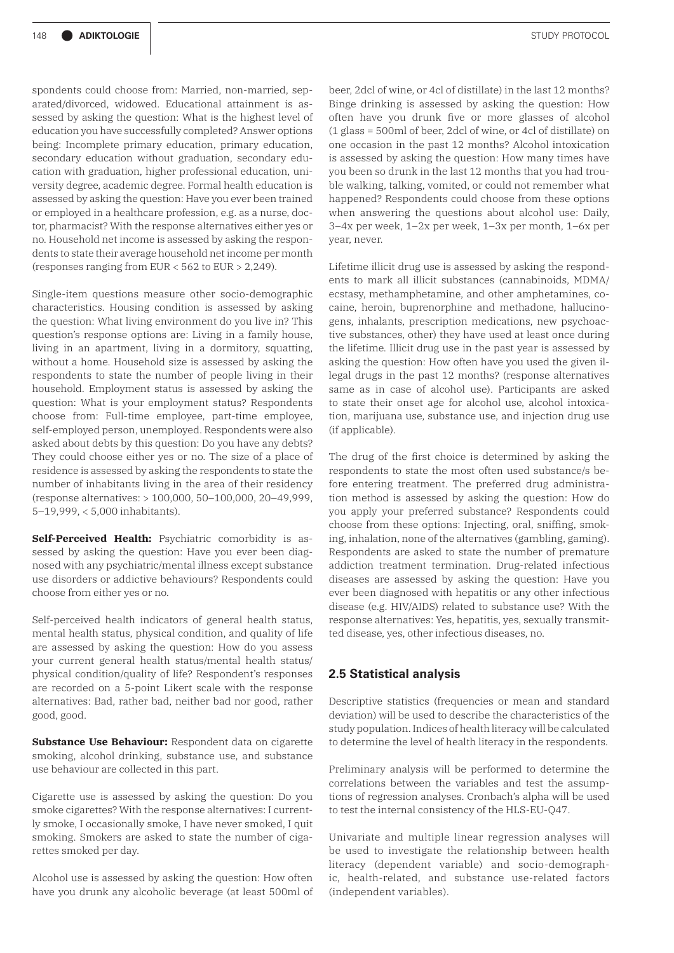spondents could choose from: Married, non-married, separated/divorced, widowed. Educational attainment is assessed by asking the question: What is the highest level of education you have successfully completed? Answer options being: Incomplete primary education, primary education, secondary education without graduation, secondary education with graduation, higher professional education, university degree, academic degree. Formal health education is assessed by asking the question: Have you ever been trained or employed in a healthcare profession, e.g. as a nurse, doctor, pharmacist? With the response alternatives either yes or no. Household net income is assessed by asking the respondents to state their average household net income per month (responses ranging from EUR < 562 to EUR > 2,249).

Single-item questions measure other socio-demographic characteristics. Housing condition is assessed by asking the question: What living environment do you live in? This question's response options are: Living in a family house, living in an apartment, living in a dormitory, squatting, without a home. Household size is assessed by asking the respondents to state the number of people living in their household. Employment status is assessed by asking the question: What is your employment status? Respondents choose from: Full-time employee, part-time employee, self-employed person, unemployed. Respondents were also asked about debts by this question: Do you have any debts? They could choose either yes or no. The size of a place of residence is assessed by asking the respondents to state the number of inhabitants living in the area of their residency (response alternatives: > 100,000, 50–100,000, 20–49,999, 5–19,999, < 5,000 inhabitants).

**Self-Perceived Health:** Psychiatric comorbidity is assessed by asking the question: Have you ever been diagnosed with any psychiatric/mental illness except substance use disorders or addictive behaviours? Respondents could choose from either yes or no.

Self-perceived health indicators of general health status, mental health status, physical condition, and quality of life are assessed by asking the question: How do you assess your current general health status/mental health status/ physical condition/quality of life? Respondent's responses are recorded on a 5-point Likert scale with the response alternatives: Bad, rather bad, neither bad nor good, rather good, good.

**Substance Use Behaviour:** Respondent data on cigarette smoking, alcohol drinking, substance use, and substance use behaviour are collected in this part.

Cigarette use is assessed by asking the question: Do you smoke cigarettes? With the response alternatives: I currently smoke, I occasionally smoke, I have never smoked, I quit smoking. Smokers are asked to state the number of cigarettes smoked per day.

Alcohol use is assessed by asking the question: How often have you drunk any alcoholic beverage (at least 500ml of beer, 2dcl of wine, or 4cl of distillate) in the last 12 months? Binge drinking is assessed by asking the question: How often have you drunk five or more glasses of alcohol (1 glass = 500ml of beer, 2dcl of wine, or 4cl of distillate) on one occasion in the past 12 months? Alcohol intoxication is assessed by asking the question: How many times have you been so drunk in the last 12 months that you had trouble walking, talking, vomited, or could not remember what happened? Respondents could choose from these options when answering the questions about alcohol use: Daily, 3–4x per week, 1–2x per week, 1–3x per month, 1–6x per year, never.

Lifetime illicit drug use is assessed by asking the respondents to mark all illicit substances (cannabinoids, MDMA/ ecstasy, methamphetamine, and other amphetamines, cocaine, heroin, buprenorphine and methadone, hallucinogens, inhalants, prescription medications, new psychoactive substances, other) they have used at least once during the lifetime. Illicit drug use in the past year is assessed by asking the question: How often have you used the given illegal drugs in the past 12 months? (response alternatives same as in case of alcohol use). Participants are asked to state their onset age for alcohol use, alcohol intoxication, marijuana use, substance use, and injection drug use (if applicable).

The drug of the first choice is determined by asking the respondents to state the most often used substance/s before entering treatment. The preferred drug administration method is assessed by asking the question: How do you apply your preferred substance? Respondents could choose from these options: Injecting, oral, sniffing, smoking, inhalation, none of the alternatives (gambling, gaming). Respondents are asked to state the number of premature addiction treatment termination. Drug-related infectious diseases are assessed by asking the question: Have you ever been diagnosed with hepatitis or any other infectious disease (e.g. HIV/AIDS) related to substance use? With the response alternatives: Yes, hepatitis, yes, sexually transmitted disease, yes, other infectious diseases, no.

## **2.5 Statistical analysis**

Descriptive statistics (frequencies or mean and standard deviation) will be used to describe the characteristics of the study population. Indices of health literacy will be calculated to determine the level of health literacy in the respondents.

Preliminary analysis will be performed to determine the correlations between the variables and test the assumptions of regression analyses. Cronbach's alpha will be used to test the internal consistency of the HLS-EU-Q47.

Univariate and multiple linear regression analyses will be used to investigate the relationship between health literacy (dependent variable) and socio-demographic, health-related, and substance use-related factors (independent variables).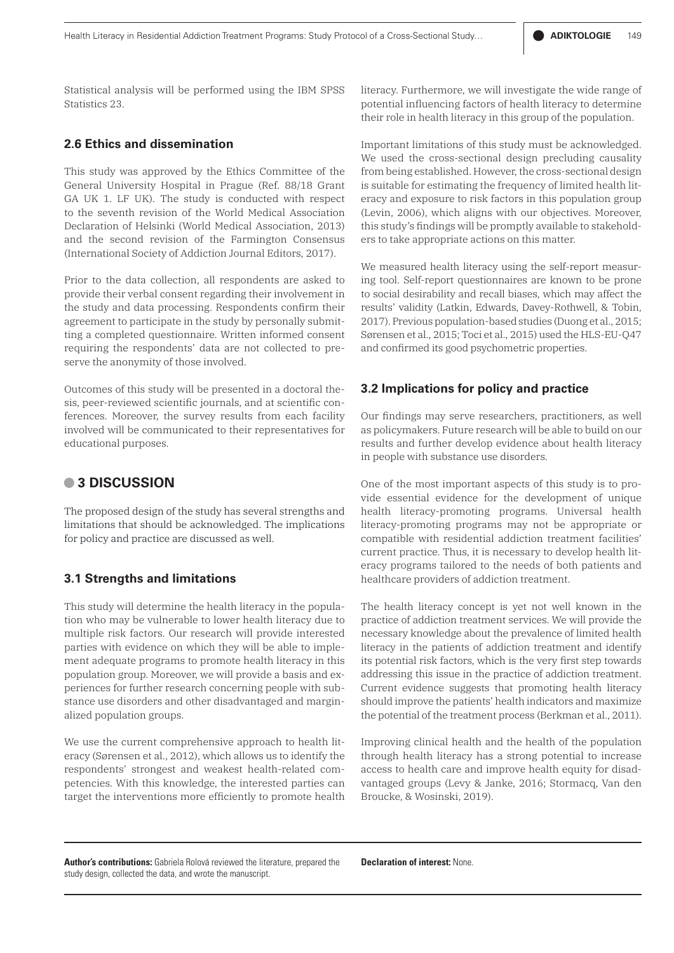Statistical analysis will be performed using the IBM SPSS Statistics 23.

# **2.6 Ethics and dissemination**

This study was approved by the Ethics Committee of the General University Hospital in Prague (Ref. 88/18 Grant GA UK 1. LF UK). The study is conducted with respect to the seventh revision of the World Medical Association Declaration of Helsinki (World Medical Association, 2013) and the second revision of the Farmington Consensus (International Society of Addiction Journal Editors, 2017).

Prior to the data collection, all respondents are asked to provide their verbal consent regarding their involvement in the study and data processing. Respondents confirm their agreement to participate in the study by personally submitting a completed questionnaire. Written informed consent requiring the respondents' data are not collected to preserve the anonymity of those involved.

Outcomes of this study will be presented in a doctoral thesis, peer-reviewed scientific journals, and at scientific conferences. Moreover, the survey results from each facility involved will be communicated to their representatives for educational purposes.

# **• 3 DISCUSSION**

The proposed design of the study has several strengths and limitations that should be acknowledged. The implications for policy and practice are discussed as well.

## **3.1 Strengths and limitations**

This study will determine the health literacy in the population who may be vulnerable to lower health literacy due to multiple risk factors. Our research will provide interested parties with evidence on which they will be able to implement adequate programs to promote health literacy in this population group. Moreover, we will provide a basis and experiences for further research concerning people with substance use disorders and other disadvantaged and marginalized population groups.

We use the current comprehensive approach to health literacy (Sørensen et al., 2012), which allows us to identify the respondents' strongest and weakest health-related competencies. With this knowledge, the interested parties can target the interventions more efficiently to promote health literacy. Furthermore, we will investigate the wide range of potential influencing factors of health literacy to determine their role in health literacy in this group of the population.

Important limitations of this study must be acknowledged. We used the cross-sectional design precluding causality from being established. However, the cross-sectional design is suitable for estimating the frequency of limited health literacy and exposure to risk factors in this population group (Levin, 2006), which aligns with our objectives. Moreover, this study's findings will be promptly available to stakeholders to take appropriate actions on this matter.

We measured health literacy using the self-report measuring tool. Self-report questionnaires are known to be prone to social desirability and recall biases, which may affect the results' validity (Latkin, Edwards, Davey-Rothwell, & Tobin, 2017). Previous population-based studies (Duong et al., 2015; Sørensen et al., 2015; Toci et al., 2015) used the HLS-EU-Q47 and confirmed its good psychometric properties.

#### **3.2 Implications for policy and practice**

Our findings may serve researchers, practitioners, as well as policymakers. Future research will be able to build on our results and further develop evidence about health literacy in people with substance use disorders.

One of the most important aspects of this study is to provide essential evidence for the development of unique health literacy-promoting programs. Universal health literacy-promoting programs may not be appropriate or compatible with residential addiction treatment facilities' current practice. Thus, it is necessary to develop health literacy programs tailored to the needs of both patients and healthcare providers of addiction treatment.

The health literacy concept is yet not well known in the practice of addiction treatment services. We will provide the necessary knowledge about the prevalence of limited health literacy in the patients of addiction treatment and identify its potential risk factors, which is the very first step towards addressing this issue in the practice of addiction treatment. Current evidence suggests that promoting health literacy should improve the patients' health indicators and maximize the potential of the treatment process (Berkman et al., 2011).

Improving clinical health and the health of the population through health literacy has a strong potential to increase access to health care and improve health equity for disadvantaged groups (Levy & Janke, 2016; Stormacq, Van den Broucke, & Wosinski, 2019).

**Author's contributions:** Gabriela Rolová reviewed the literature, prepared the study design, collected the data, and wrote the manuscript.

**Declaration of interest:** None.